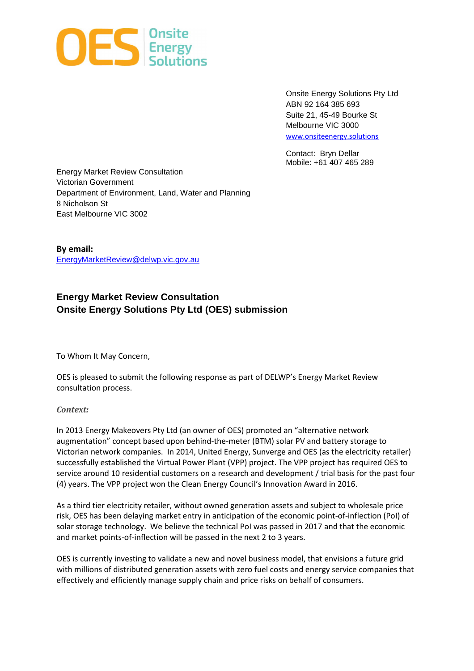

Onsite Energy Solutions Pty Ltd ABN 92 164 385 693 Suite 21, 45-49 Bourke St Melbourne VIC 3000 www.onsiteenergy.solutions

Contact: Bryn Dellar Mobile: +61 407 465 289

Energy Market Review Consultation Victorian Government Department of Environment, Land, Water and Planning 8 Nicholson St East Melbourne VIC 3002

**By email:**  EnergyMarketReview@delwp.vic.gov.au

# **Energy Market Review Consultation Onsite Energy Solutions Pty Ltd (OES) submission**

To Whom It May Concern,

OES is pleased to submit the following response as part of DELWP's Energy Market Review consultation process.

#### *Context:*

In 2013 Energy Makeovers Pty Ltd (an owner of OES) promoted an "alternative network augmentation" concept based upon behind-the-meter (BTM) solar PV and battery storage to Victorian network companies. In 2014, United Energy, Sunverge and OES (as the electricity retailer) successfully established the Virtual Power Plant (VPP) project. The VPP project has required OES to service around 10 residential customers on a research and development / trial basis for the past four (4) years. The VPP project won the Clean Energy Council's Innovation Award in 2016.

As a third tier electricity retailer, without owned generation assets and subject to wholesale price risk, OES has been delaying market entry in anticipation of the economic point-of-inflection (PoI) of solar storage technology. We believe the technical PoI was passed in 2017 and that the economic and market points-of-inflection will be passed in the next 2 to 3 years.

OES is currently investing to validate a new and novel business model, that envisions a future grid with millions of distributed generation assets with zero fuel costs and energy service companies that effectively and efficiently manage supply chain and price risks on behalf of consumers.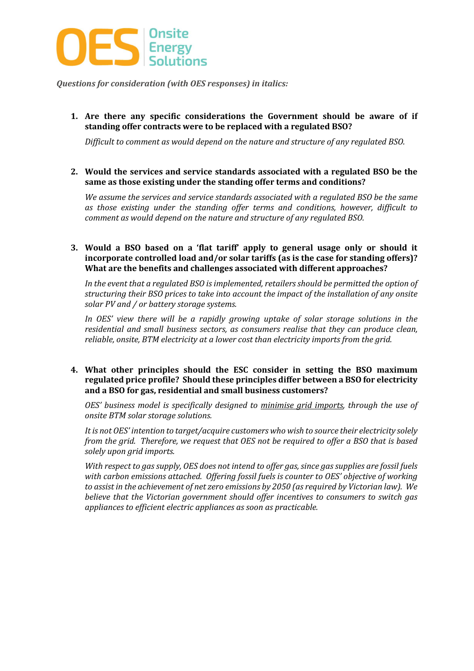

*Questions for consideration (with OES responses) in italics:* 

**1. Are there any specific considerations the Government should be aware of if standing offer contracts were to be replaced with a regulated BSO?** 

*Difficult to comment as would depend on the nature and structure of any regulated BSO.* 

**2. Would the services and service standards associated with a regulated BSO be the same as those existing under the standing offer terms and conditions?** 

*We assume the services and service standards associated with a regulated BSO be the same as those existing under the standing offer terms and conditions, however, difficult to comment as would depend on the nature and structure of any regulated BSO.*

**3. Would a BSO based on a 'flat tariff' apply to general usage only or should it incorporate controlled load and/or solar tariffs (as is the case for standing offers)? What are the benefits and challenges associated with different approaches?** 

*In the event that a regulated BSO is implemented, retailers should be permitted the option of structuring their BSO prices to take into account the impact of the installation of any onsite solar PV and / or battery storage systems.* 

*In OES' view there will be a rapidly growing uptake of solar storage solutions in the residential and small business sectors, as consumers realise that they can produce clean, reliable, onsite, BTM electricity at a lower cost than electricity imports from the grid.* 

#### **4. What other principles should the ESC consider in setting the BSO maximum regulated price profile? Should these principles differ between a BSO for electricity and a BSO for gas, residential and small business customers?**

*OES' business model is specifically designed to minimise grid imports, through the use of onsite BTM solar storage solutions.* 

*It is not OES' intention to target/acquire customers who wish to source their electricity solely from the grid. Therefore, we request that OES not be required to offer a BSO that is based solely upon grid imports.* 

*With respect to gas supply, OES does not intend to offer gas, since gas supplies are fossil fuels with carbon emissions attached. Offering fossil fuels is counter to OES' objective of working to assist in the achievement of net zero emissions by 2050 (as required by Victorian law). We believe that the Victorian government should offer incentives to consumers to switch gas appliances to efficient electric appliances as soon as practicable.*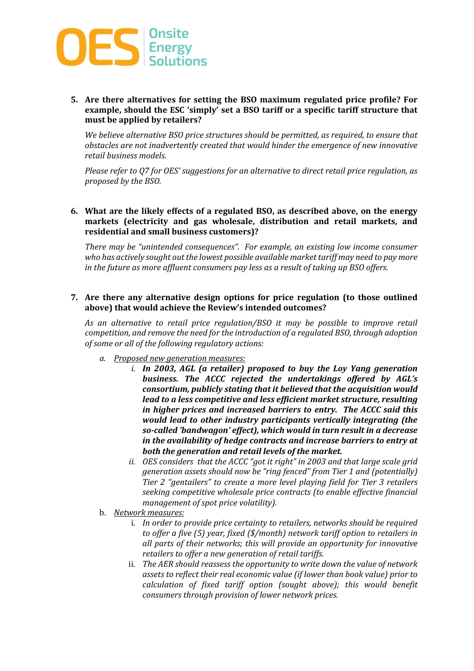

**5. Are there alternatives for setting the BSO maximum regulated price profile? For example, should the ESC 'simply' set a BSO tariff or a specific tariff structure that must be applied by retailers?** 

*We believe alternative BSO price structures should be permitted, as required, to ensure that obstacles are not inadvertently created that would hinder the emergence of new innovative retail business models.* 

*Please refer to Q7 for OES' suggestions for an alternative to direct retail price regulation, as proposed by the BSO.* 

**6. What are the likely effects of a regulated BSO, as described above, on the energy markets (electricity and gas wholesale, distribution and retail markets, and residential and small business customers)?** 

*There may be "unintended consequences". For example, an existing low income consumer who has actively sought out the lowest possible available market tariff may need to pay more in the future as more affluent consumers pay less as a result of taking up BSO offers.*

**7. Are there any alternative design options for price regulation (to those outlined above) that would achieve the Review's intended outcomes?** 

*As an alternative to retail price regulation/BSO it may be possible to improve retail competition, and remove the need for the introduction of a regulated BSO, through adoption of some or all of the following regulatory actions:*

- *a. Proposed new generation measures:* 
	- *i. In 2003, AGL (a retailer) proposed to buy the Loy Yang generation business. The ACCC rejected the undertakings offered by AGL's consortium, publicly stating that it believed that the acquisition would lead to a less competitive and less efficient market structure, resulting in higher prices and increased barriers to entry. The ACCC said this would lead to other industry participants vertically integrating (the so-called 'bandwagon' effect), which would in turn result in a decrease in the availability of hedge contracts and increase barriers to entry at both the generation and retail levels of the market.*
	- *ii. OES considers that the ACCC "got it right" in 2003 and that large scale grid generation assets should now be "ring fenced" from Tier 1 and (potentially) Tier 2 "gentailers" to create a more level playing field for Tier 3 retailers seeking competitive wholesale price contracts (to enable effective financial management of spot price volatility).*
- b. *Network measures:* 
	- i. *In order to provide price certainty to retailers, networks should be required to offer a five (5) year, fixed (\$/month) network tariff option to retailers in all parts of their networks; this will provide an opportunity for innovative retailers to offer a new generation of retail tariffs.*
	- ii. *The AER should reassess the opportunity to write down the value of network assets to reflect their real economic value (if lower than book value) prior to calculation of fixed tariff option (sought above); this would benefit consumers through provision of lower network prices.*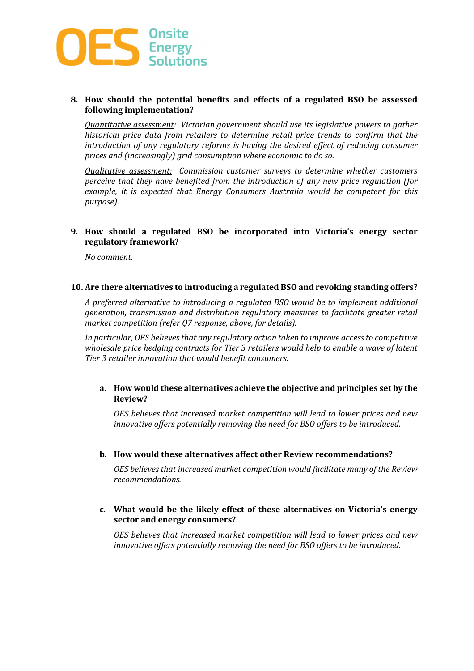

## **8. How should the potential benefits and effects of a regulated BSO be assessed following implementation?**

*Quantitative assessment: Victorian government should use its legislative powers to gather historical price data from retailers to determine retail price trends to confirm that the introduction of any regulatory reforms is having the desired effect of reducing consumer prices and (increasingly) grid consumption where economic to do so.* 

*Qualitative assessment: Commission customer surveys to determine whether customers perceive that they have benefited from the introduction of any new price regulation (for example, it is expected that Energy Consumers Australia would be competent for this purpose).* 

# **9. How should a regulated BSO be incorporated into Victoria's energy sector regulatory framework?**

*No comment.* 

#### **10. Are there alternatives to introducing a regulated BSO and revoking standing offers?**

*A preferred alternative to introducing a regulated BSO would be to implement additional generation, transmission and distribution regulatory measures to facilitate greater retail market competition (refer Q7 response, above, for details).* 

*In particular, OES believes that any regulatory action taken to improve access to competitive wholesale price hedging contracts for Tier 3 retailers would help to enable a wave of latent Tier 3 retailer innovation that would benefit consumers.* 

## **a. How would these alternatives achieve the objective and principles set by the Review?**

*OES believes that increased market competition will lead to lower prices and new innovative offers potentially removing the need for BSO offers to be introduced.*

#### **b. How would these alternatives affect other Review recommendations?**

*OES believes that increased market competition would facilitate many of the Review recommendations.*

## **c. What would be the likely effect of these alternatives on Victoria's energy sector and energy consumers?**

*OES believes that increased market competition will lead to lower prices and new innovative offers potentially removing the need for BSO offers to be introduced.*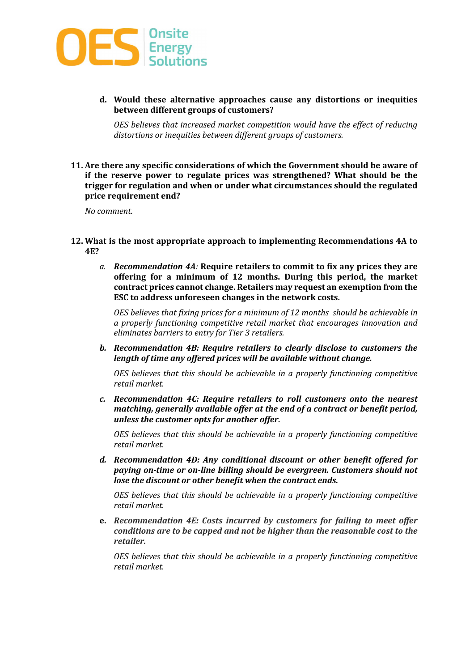

**d. Would these alternative approaches cause any distortions or inequities between different groups of customers?** 

*OES believes that increased market competition would have the effect of reducing distortions or inequities between different groups of customers.* 

**11. Are there any specific considerations of which the Government should be aware of if the reserve power to regulate prices was strengthened? What should be the trigger for regulation and when or under what circumstances should the regulated price requirement end?** 

*No comment.* 

- **12. What is the most appropriate approach to implementing Recommendations 4A to 4E?** 
	- *a. Recommendation 4A:* **Require retailers to commit to fix any prices they are offering for a minimum of 12 months. During this period, the market contract prices cannot change. Retailers may request an exemption from the ESC to address unforeseen changes in the network costs.**

*OES believes that fixing prices for a minimum of 12 months should be achievable in a properly functioning competitive retail market that encourages innovation and eliminates barriers to entry for Tier 3 retailers.* 

*b. Recommendation 4B: Require retailers to clearly disclose to customers the length of time any offered prices will be available without change.* 

*OES believes that this should be achievable in a properly functioning competitive retail market.* 

*c. Recommendation 4C: Require retailers to roll customers onto the nearest matching, generally available offer at the end of a contract or benefit period, unless the customer opts for another offer.* 

*OES believes that this should be achievable in a properly functioning competitive retail market.*

*d. Recommendation 4D: Any conditional discount or other benefit offered for paying on-time or on-line billing should be evergreen. Customers should not lose the discount or other benefit when the contract ends.* 

*OES believes that this should be achievable in a properly functioning competitive retail market.* 

**e.** *Recommendation 4E: Costs incurred by customers for failing to meet offer conditions are to be capped and not be higher than the reasonable cost to the retailer.*

*OES believes that this should be achievable in a properly functioning competitive retail market.*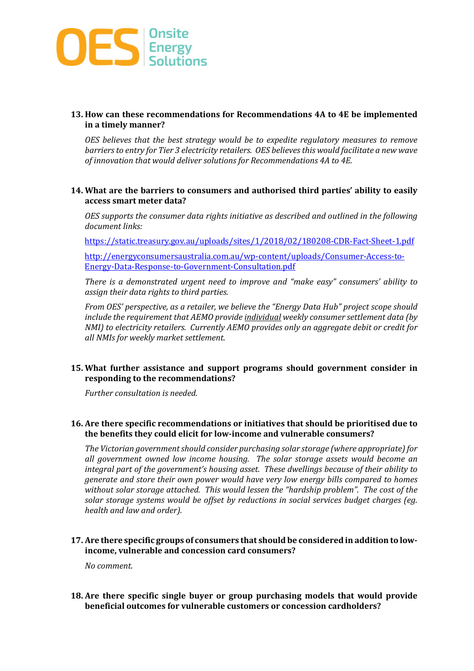

# **13. How can these recommendations for Recommendations 4A to 4E be implemented in a timely manner?**

*OES believes that the best strategy would be to expedite regulatory measures to remove barriers to entry for Tier 3 electricity retailers. OES believes this would facilitate a new wave of innovation that would deliver solutions for Recommendations 4A to 4E.* 

#### **14. What are the barriers to consumers and authorised third parties' ability to easily access smart meter data?**

*OES supports the consumer data rights initiative as described and outlined in the following document links:* 

https://static.treasury.gov.au/uploads/sites/1/2018/02/180208-CDR-Fact-Sheet-1.pdf

http://energyconsumersaustralia.com.au/wp-content/uploads/Consumer-Access-to-Energy-Data-Response-to-Government-Consultation.pdf

*There is a demonstrated urgent need to improve and "make easy" consumers' ability to assign their data rights to third parties.*

*From OES' perspective, as a retailer, we believe the "Energy Data Hub" project scope should include the requirement that AEMO provide individual weekly consumer settlement data (by NMI) to electricity retailers. Currently AEMO provides only an aggregate debit or credit for all NMIs for weekly market settlement.* 

## **15. What further assistance and support programs should government consider in responding to the recommendations?**

*Further consultation is needed.* 

## **16. Are there specific recommendations or initiatives that should be prioritised due to the benefits they could elicit for low-income and vulnerable consumers?**

*The Victorian government should consider purchasing solar storage (where appropriate) for all government owned low income housing. The solar storage assets would become an integral part of the government's housing asset. These dwellings because of their ability to generate and store their own power would have very low energy bills compared to homes without solar storage attached. This would lessen the "hardship problem". The cost of the solar storage systems would be offset by reductions in social services budget charges (eg. health and law and order).* 

## **17. Are there specific groups of consumers that should be considered in addition to lowincome, vulnerable and concession card consumers?**

*No comment.* 

**18. Are there specific single buyer or group purchasing models that would provide beneficial outcomes for vulnerable customers or concession cardholders?**